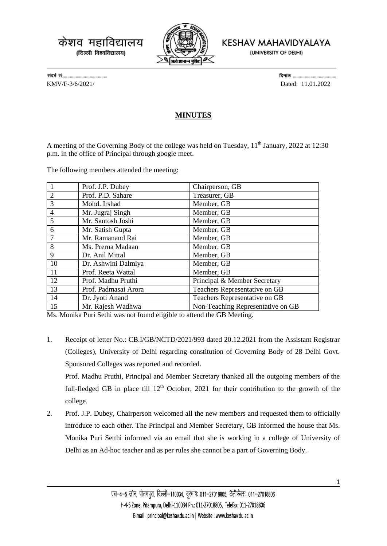केशव महाविद्यालय (दिल्ली विश्वविद्यालय)



KESHAV MAHAVIDYALAYA

(UNIVERSITY OF DELHI)

KMV/F-3/6/2021/ Dated: 11.01.2022

## **MINUTES**

A meeting of the Governing Body of the college was held on Tuesday,  $11<sup>th</sup>$  January, 2022 at 12:30 p.m. in the office of Principal through google meet.

The following members attended the meeting:

| $\overline{\phantom{1}}$ | Prof. J.P. Dubey     | Chairperson, GB                   |
|--------------------------|----------------------|-----------------------------------|
| 2                        | Prof. P.D. Sahare    | Treasurer, GB                     |
| 3                        | Mohd. Irshad         | Member, GB                        |
| $\overline{4}$           | Mr. Jugraj Singh     | Member, GB                        |
| 5                        | Mr. Santosh Joshi    | Member, GB                        |
| 6                        | Mr. Satish Gupta     | Member, GB                        |
| $\overline{7}$           | Mr. Ramanand Rai     | Member, GB                        |
| 8                        | Ms. Prerna Madaan    | Member, GB                        |
| 9                        | Dr. Anil Mittal      | Member, GB                        |
| 10                       | Dr. Ashwini Dalmiya  | Member, GB                        |
| 11                       | Prof. Reeta Wattal   | Member, GB                        |
| 12                       | Prof. Madhu Pruthi   | Principal & Member Secretary      |
| 13                       | Prof. Padmasai Arora | Teachers Representative on GB     |
| 14                       | Dr. Jyoti Anand      | Teachers Representative on GB     |
| 15                       | Mr. Rajesh Wadhwa    | Non-Teaching Representative on GB |

Ms. Monika Puri Sethi was not found eligible to attend the GB Meeting.

1. Receipt of letter No.: CB.I/GB/NCTD/2021/993 dated 20.12.2021 from the Assistant Registrar (Colleges), University of Delhi regarding constitution of Governing Body of 28 Delhi Govt. Sponsored Colleges was reported and recorded.

Prof. Madhu Pruthi, Principal and Member Secretary thanked all the outgoing members of the full-fledged GB in place till  $12<sup>th</sup>$  October, 2021 for their contribution to the growth of the college.

2. Prof. J.P. Dubey, Chairperson welcomed all the new members and requested them to officially introduce to each other. The Principal and Member Secretary, GB informed the house that Ms. Monika Puri Setthi informed via an email that she is working in a college of University of Delhi as an Ad-hoc teacher and as per rules she cannot be a part of Governing Body.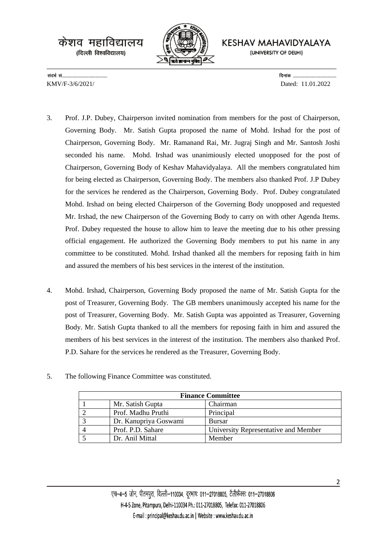केशव महाविद्यालय (दिल्ली विश्वविद्यालय)



KESHAV MAHAVIDYALAYA

(UNIVERSITY OF DELHI)

KMV/F-3/6/2021/ Dated: 11.01.2022

- 3. Prof. J.P. Dubey, Chairperson invited nomination from members for the post of Chairperson, Governing Body. Mr. Satish Gupta proposed the name of Mohd. Irshad for the post of Chairperson, Governing Body. Mr. Ramanand Rai, Mr. Jugraj Singh and Mr. Santosh Joshi seconded his name. Mohd. Irshad was unanimiously elected unopposed for the post of Chairperson, Governing Body of Keshav Mahavidyalaya. All the members congratulated him for being elected as Chairperson, Governing Body. The members also thanked Prof. J.P Dubey for the services he rendered as the Chairperson, Governing Body. Prof. Dubey congratulated Mohd. Irshad on being elected Chairperson of the Governing Body unopposed and requested Mr. Irshad, the new Chairperson of the Governing Body to carry on with other Agenda Items. Prof. Dubey requested the house to allow him to leave the meeting due to his other pressing official engagement. He authorized the Governing Body members to put his name in any committee to be constituted. Mohd. Irshad thanked all the members for reposing faith in him and assured the members of his best services in the interest of the institution.
- 4. Mohd. Irshad, Chairperson, Governing Body proposed the name of Mr. Satish Gupta for the post of Treasurer, Governing Body. The GB members unanimously accepted his name for the post of Treasurer, Governing Body. Mr. Satish Gupta was appointed as Treasurer, Governing Body. Mr. Satish Gupta thanked to all the members for reposing faith in him and assured the members of his best services in the interest of the institution. The members also thanked Prof. P.D. Sahare for the services he rendered as the Treasurer, Governing Body.

| <b>Finance Committee</b> |                       |                                      |  |
|--------------------------|-----------------------|--------------------------------------|--|
|                          | Mr. Satish Gupta      | Chairman                             |  |
|                          | Prof. Madhu Pruthi    | Principal                            |  |
|                          | Dr. Kanupriya Goswami | <b>Bursar</b>                        |  |
| 4                        | Prof. P.D. Sahare     | University Representative and Member |  |
|                          | Dr. Anil Mittal       | Member                               |  |

5. The following Finance Committee was constituted.